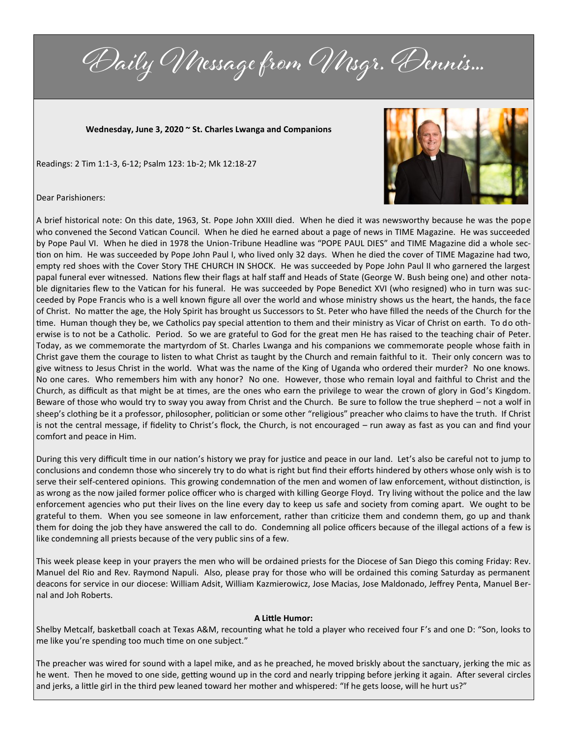Daily Message from Msgr. Dennis...

**Wednesday, June 3, 2020 ~ St. Charles Lwanga and Companions**

Readings: 2 Tim 1:1-3, 6-12; Psalm 123: 1b-2; Mk 12:18-27



Dear Parishioners:

A brief historical note: On this date, 1963, St. Pope John XXIII died. When he died it was newsworthy because he was the pope who convened the Second Vatican Council. When he died he earned about a page of news in TIME Magazine. He was succeeded by Pope Paul VI. When he died in 1978 the Union-Tribune Headline was "POPE PAUL DIES" and TIME Magazine did a whole section on him. He was succeeded by Pope John Paul I, who lived only 32 days. When he died the cover of TIME Magazine had two, empty red shoes with the Cover Story THE CHURCH IN SHOCK. He was succeeded by Pope John Paul II who garnered the largest papal funeral ever witnessed. Nations flew their flags at half staff and Heads of State (George W. Bush being one) and other notable dignitaries flew to the Vatican for his funeral. He was succeeded by Pope Benedict XVI (who resigned) who in turn was succeeded by Pope Francis who is a well known figure all over the world and whose ministry shows us the heart, the hands, the face of Christ. No matter the age, the Holy Spirit has brought us Successors to St. Peter who have filled the needs of the Church for the time. Human though they be, we Catholics pay special attention to them and their ministry as Vicar of Christ on earth. To do otherwise is to not be a Catholic. Period. So we are grateful to God for the great men He has raised to the teaching chair of Peter. Today, as we commemorate the martyrdom of St. Charles Lwanga and his companions we commemorate people whose faith in Christ gave them the courage to listen to what Christ as taught by the Church and remain faithful to it. Their only concern was to give witness to Jesus Christ in the world. What was the name of the King of Uganda who ordered their murder? No one knows. No one cares. Who remembers him with any honor? No one. However, those who remain loyal and faithful to Christ and the Church, as difficult as that might be at times, are the ones who earn the privilege to wear the crown of glory in God's Kingdom. Beware of those who would try to sway you away from Christ and the Church. Be sure to follow the true shepherd – not a wolf in sheep's clothing be it a professor, philosopher, politician or some other "religious" preacher who claims to have the truth. If Christ is not the central message, if fidelity to Christ's flock, the Church, is not encouraged – run away as fast as you can and find your comfort and peace in Him.

During this very difficult time in our nation's history we pray for justice and peace in our land. Let's also be careful not to jump to conclusions and condemn those who sincerely try to do what is right but find their efforts hindered by others whose only wish is to serve their self-centered opinions. This growing condemnation of the men and women of law enforcement, without distinction, is as wrong as the now jailed former police officer who is charged with killing George Floyd. Try living without the police and the law enforcement agencies who put their lives on the line every day to keep us safe and society from coming apart. We ought to be grateful to them. When you see someone in law enforcement, rather than criticize them and condemn them, go up and thank them for doing the job they have answered the call to do. Condemning all police officers because of the illegal actions of a few is like condemning all priests because of the very public sins of a few.

This week please keep in your prayers the men who will be ordained priests for the Diocese of San Diego this coming Friday: Rev. Manuel del Rio and Rev. Raymond Napuli. Also, please pray for those who will be ordained this coming Saturday as permanent deacons for service in our diocese: William Adsit, William Kazmierowicz, Jose Macias, Jose Maldonado, Jeffrey Penta, Manuel Bernal and Joh Roberts.

## **A Little Humor:**

Shelby Metcalf, basketball coach at Texas A&M, recounting what he told a player who received four F's and one D: "Son, looks to me like you're spending too much time on one subject."

The preacher was wired for sound with a lapel mike, and as he preached, he moved briskly about the sanctuary, jerking the mic as he went. Then he moved to one side, getting wound up in the cord and nearly tripping before jerking it again. After several circles and jerks, a little girl in the third pew leaned toward her mother and whispered: "If he gets loose, will he hurt us?"